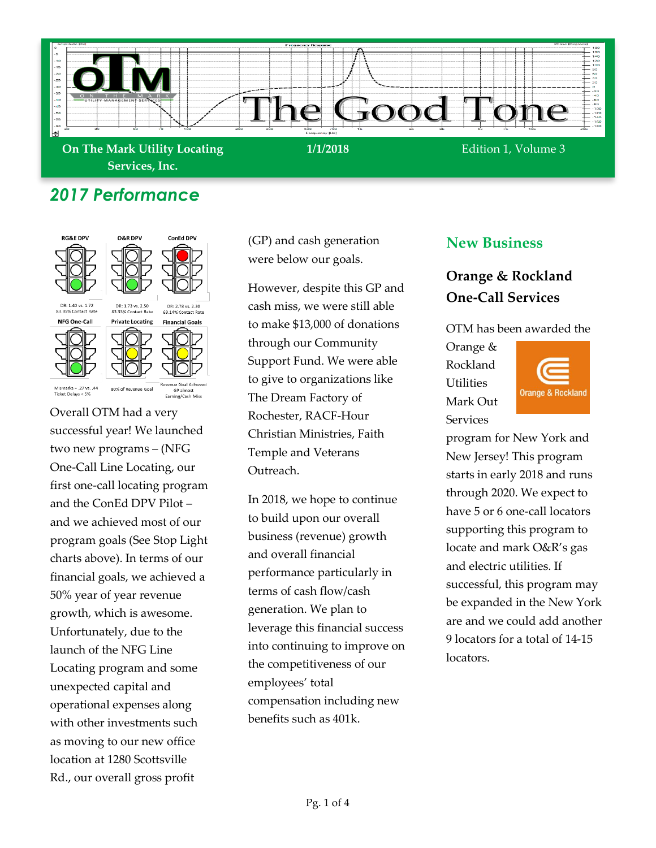

# *2017 Performance*



Overall OTM had a very successful year! We launched two new programs – (NFG One-Call Line Locating, our first one-call locating program and the ConEd DPV Pilot – and we achieved most of our program goals (See Stop Light charts above). In terms of our financial goals, we achieved a 50% year of year revenue growth, which is awesome. Unfortunately, due to the launch of the NFG Line Locating program and some unexpected capital and operational expenses along with other investments such as moving to our new office location at 1280 Scottsville Rd., our overall gross profit

(GP) and cash generation were below our goals.

However, despite this GP and cash miss, we were still able to make \$13,000 of donations through our Community Support Fund. We were able to give to organizations like The Dream Factory of Rochester, RACF-Hour Christian Ministries, Faith Temple and Veterans Outreach.

In 2018, we hope to continue to build upon our overall business (revenue) growth and overall financial performance particularly in terms of cash flow/cash generation. We plan to leverage this financial success into continuing to improve on the competitiveness of our employees' total compensation including new benefits such as 401k.

#### **New Business**

## **Orange & Rockland One-Call Services**

OTM has been awarded the

Orange & Rockland **Utilities** Mark Out **Services** 



program for New York and New Jersey! This program starts in early 2018 and runs through 2020. We expect to have 5 or 6 one-call locators supporting this program to locate and mark O&R's gas and electric utilities. If successful, this program may be expanded in the New York are and we could add another 9 locators for a total of 14-15 locators.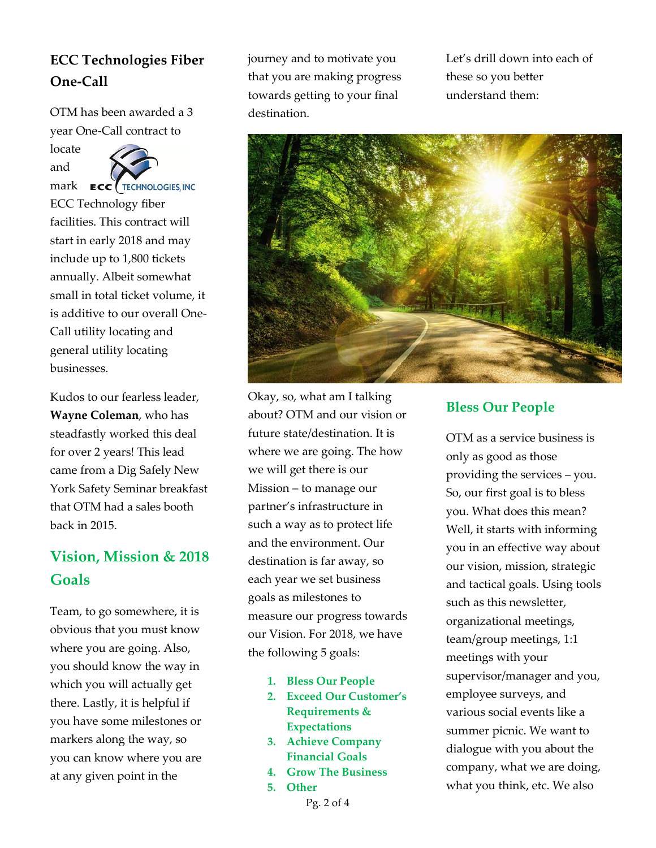# **ECC Technologies Fiber One-Call**

OTM has been awarded a 3 year One-Call contract to

locate and



ECC Technology fiber facilities. This contract will start in early 2018 and may include up to 1,800 tickets annually. Albeit somewhat small in total ticket volume, it is additive to our overall One-Call utility locating and general utility locating businesses.

Kudos to our fearless leader, **Wayne Coleman**, who has steadfastly worked this deal for over 2 years! This lead came from a Dig Safely New York Safety Seminar breakfast that OTM had a sales booth back in 2015.

# **Vision, Mission & 2018 Goals**

Team, to go somewhere, it is obvious that you must know where you are going. Also, you should know the way in which you will actually get there. Lastly, it is helpful if you have some milestones or markers along the way, so you can know where you are at any given point in the

journey and to motivate you that you are making progress towards getting to your final destination.

Let's drill down into each of these so you better understand them:



Okay, so, what am I talking about? OTM and our vision or future state/destination. It is where we are going. The how we will get there is our Mission – to manage our partner's infrastructure in such a way as to protect life and the environment. Our destination is far away, so each year we set business goals as milestones to measure our progress towards our Vision. For 2018, we have the following 5 goals:

- **1. Bless Our People**
- **2. Exceed Our Customer's Requirements & Expectations**
- **3. Achieve Company Financial Goals**
- **4. Grow The Business**
- **5. Other**

Pg. 2 of 4

#### **Bless Our People**

OTM as a service business is only as good as those providing the services – you. So, our first goal is to bless you. What does this mean? Well, it starts with informing you in an effective way about our vision, mission, strategic and tactical goals. Using tools such as this newsletter, organizational meetings, team/group meetings, 1:1 meetings with your supervisor/manager and you, employee surveys, and various social events like a summer picnic. We want to dialogue with you about the company, what we are doing, what you think, etc. We also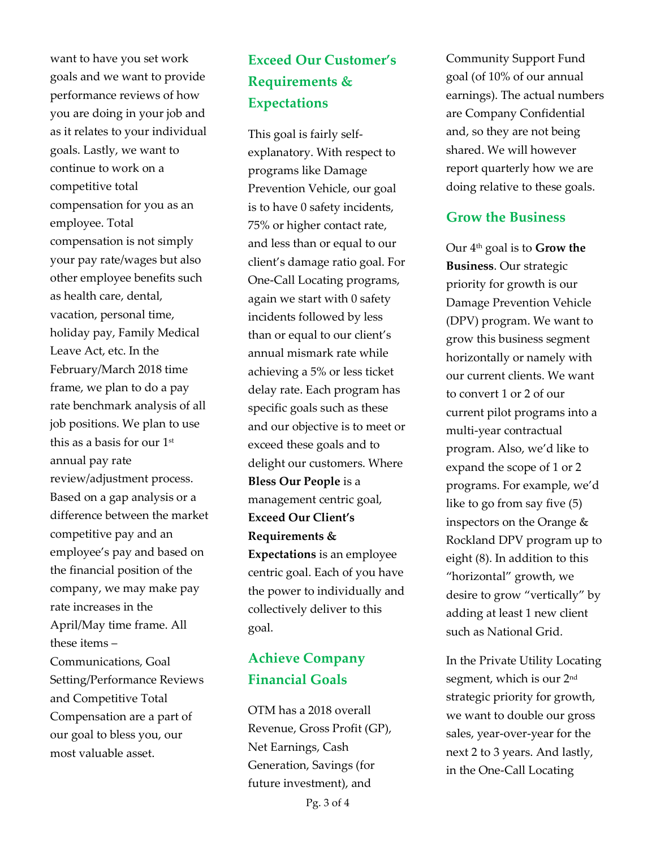want to have you set work goals and we want to provide performance reviews of how you are doing in your job and as it relates to your individual goals. Lastly, we want to continue to work on a competitive total compensation for you as an employee. Total compensation is not simply your pay rate/wages but also other employee benefits such as health care, dental, vacation, personal time, holiday pay, Family Medical Leave Act, etc. In the February/March 2018 time frame, we plan to do a pay rate benchmark analysis of all job positions. We plan to use this as a basis for our 1st annual pay rate review/adjustment process. Based on a gap analysis or a difference between the market competitive pay and an employee's pay and based on the financial position of the company, we may make pay rate increases in the April/May time frame. All these items – Communications, Goal Setting/Performance Reviews and Competitive Total Compensation are a part of our goal to bless you, our most valuable asset.

# **Exceed Our Customer's Requirements & Expectations**

This goal is fairly selfexplanatory. With respect to programs like Damage Prevention Vehicle, our goal is to have 0 safety incidents, 75% or higher contact rate, and less than or equal to our client's damage ratio goal. For One-Call Locating programs, again we start with 0 safety incidents followed by less than or equal to our client's annual mismark rate while achieving a 5% or less ticket delay rate. Each program has specific goals such as these and our objective is to meet or exceed these goals and to delight our customers. Where **Bless Our People** is a management centric goal, **Exceed Our Client's Requirements & Expectations** is an employee centric goal. Each of you have the power to individually and collectively deliver to this goal.

## **Achieve Company Financial Goals**

OTM has a 2018 overall Revenue, Gross Profit (GP), Net Earnings, Cash Generation, Savings (for future investment), and

Community Support Fund goal (of 10% of our annual earnings). The actual numbers are Company Confidential and, so they are not being shared. We will however report quarterly how we are doing relative to these goals.

### **Grow the Business**

Our 4th goal is to **Grow the Business**. Our strategic priority for growth is our Damage Prevention Vehicle (DPV) program. We want to grow this business segment horizontally or namely with our current clients. We want to convert 1 or 2 of our current pilot programs into a multi-year contractual program. Also, we'd like to expand the scope of 1 or 2 programs. For example, we'd like to go from say five (5) inspectors on the Orange & Rockland DPV program up to eight (8). In addition to this "horizontal" growth, we desire to grow "vertically" by adding at least 1 new client such as National Grid.

In the Private Utility Locating segment, which is our 2<sup>nd</sup> strategic priority for growth, we want to double our gross sales, year-over-year for the next 2 to 3 years. And lastly, in the One-Call Locating